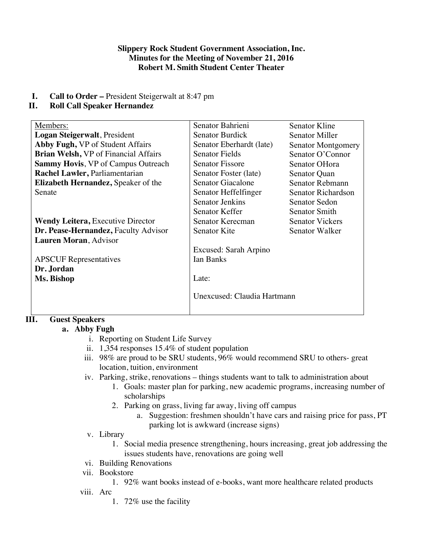#### **Slippery Rock Student Government Association, Inc. Minutes for the Meeting of November 21, 2016 Robert M. Smith Student Center Theater**

**I. Call to Order –** President Steigerwalt at 8:47 pm

# **II. Roll Call Speaker Hernandez**

| Members:                                    | Senator Bahrieni            | Senator Kline          |
|---------------------------------------------|-----------------------------|------------------------|
| Logan Steigerwalt, President                | <b>Senator Burdick</b>      | Senator Miller         |
| Abby Fugh, VP of Student Affairs            | Senator Eberhardt (late)    | Senator Montgomery     |
| <b>Brian Welsh, VP</b> of Financial Affairs | <b>Senator Fields</b>       | Senator O'Connor       |
| <b>Sammy Hovis, VP of Campus Outreach</b>   | <b>Senator Fissore</b>      | Senator OHora          |
| Rachel Lawler, Parliamentarian              | Senator Foster (late)       | Senator Quan           |
| <b>Elizabeth Hernandez, Speaker of the</b>  | Senator Giacalone           | Senator Rebmann        |
| Senate                                      | Senator Heffelfinger        | Senator Richardson     |
|                                             | <b>Senator Jenkins</b>      | <b>Senator Sedon</b>   |
|                                             | Senator Keffer              | Senator Smith          |
| <b>Wendy Leitera, Executive Director</b>    | Senator Kerecman            | <b>Senator Vickers</b> |
| Dr. Pease-Hernandez, Faculty Advisor        | Senator Kite                | Senator Walker         |
| Lauren Moran, Advisor                       |                             |                        |
|                                             | Excused: Sarah Arpino       |                        |
| <b>APSCUF</b> Representatives               | <b>Ian Banks</b>            |                        |
| Dr. Jordan                                  |                             |                        |
| Ms. Bishop                                  | Late:                       |                        |
|                                             |                             |                        |
|                                             | Unexcused: Claudia Hartmann |                        |
|                                             |                             |                        |
|                                             |                             |                        |

## **III. Guest Speakers**

## **a. Abby Fugh**

- i. Reporting on Student Life Survey
- ii. 1,354 responses 15.4% of student population
- iii. 98% are proud to be SRU students, 96% would recommend SRU to others- great location, tuition, environment
- iv. Parking, strike, renovations things students want to talk to administration about
	- 1. Goals: master plan for parking, new academic programs, increasing number of scholarships
	- 2. Parking on grass, living far away, living off campus
		- a. Suggestion: freshmen shouldn't have cars and raising price for pass, PT parking lot is awkward (increase signs)
- v. Library
	- 1. Social media presence strengthening, hours increasing, great job addressing the issues students have, renovations are going well
- vi. Building Renovations
- vii. Bookstore
	- 1. 92% want books instead of e-books, want more healthcare related products

viii. Arc

1. 72% use the facility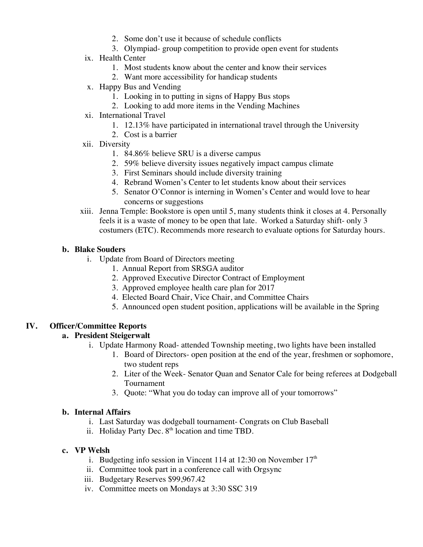- 2. Some don't use it because of schedule conflicts
- 3. Olympiad- group competition to provide open event for students
- ix. Health Center
	- 1. Most students know about the center and know their services
	- 2. Want more accessibility for handicap students
- x. Happy Bus and Vending
	- 1. Looking in to putting in signs of Happy Bus stops
	- 2. Looking to add more items in the Vending Machines
- xi. International Travel
	- 1. 12.13% have participated in international travel through the University
	- 2. Cost is a barrier
- xii. Diversity
	- 1. 84.86% believe SRU is a diverse campus
	- 2. 59% believe diversity issues negatively impact campus climate
	- 3. First Seminars should include diversity training
	- 4. Rebrand Women's Center to let students know about their services
	- 5. Senator O'Connor is interning in Women's Center and would love to hear concerns or suggestions
- xiii. Jenna Temple: Bookstore is open until 5, many students think it closes at 4. Personally feels it is a waste of money to be open that late. Worked a Saturday shift- only 3 costumers (ETC). Recommends more research to evaluate options for Saturday hours.

### **b. Blake Souders**

- i. Update from Board of Directors meeting
	- 1. Annual Report from SRSGA auditor
	- 2. Approved Executive Director Contract of Employment
	- 3. Approved employee health care plan for 2017
	- 4. Elected Board Chair, Vice Chair, and Committee Chairs
	- 5. Announced open student position, applications will be available in the Spring

### **IV. Officer/Committee Reports**

### **a. President Steigerwalt**

- i. Update Harmony Road- attended Township meeting, two lights have been installed
	- 1. Board of Directors- open position at the end of the year, freshmen or sophomore, two student reps
	- 2. Liter of the Week- Senator Quan and Senator Cale for being referees at Dodgeball Tournament
	- 3. Quote: "What you do today can improve all of your tomorrows"

#### **b. Internal Affairs**

- i. Last Saturday was dodgeball tournament- Congrats on Club Baseball
- ii. Holiday Party Dec.  $8<sup>th</sup>$  location and time TBD.

#### **c. VP Welsh**

- i. Budgeting info session in Vincent 114 at 12:30 on November  $17<sup>th</sup>$
- ii. Committee took part in a conference call with Orgsync
- iii. Budgetary Reserves \$99,967.42
- iv. Committee meets on Mondays at 3:30 SSC 319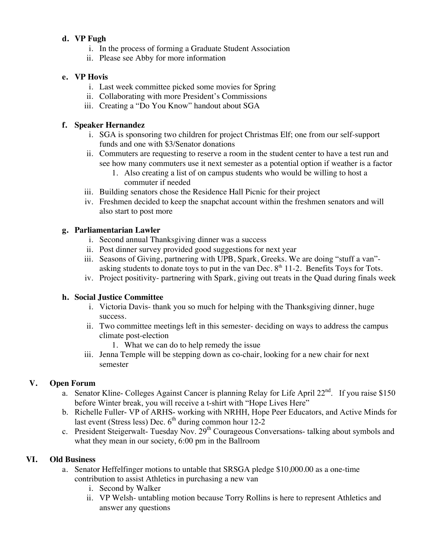### **d. VP Fugh**

- i. In the process of forming a Graduate Student Association
- ii. Please see Abby for more information

### **e. VP Hovis**

- i. Last week committee picked some movies for Spring
- ii. Collaborating with more President's Commissions
- iii. Creating a "Do You Know" handout about SGA

### **f. Speaker Hernandez**

- i. SGA is sponsoring two children for project Christmas Elf; one from our self-support funds and one with \$3/Senator donations
- ii. Commuters are requesting to reserve a room in the student center to have a test run and see how many commuters use it next semester as a potential option if weather is a factor
	- 1. Also creating a list of on campus students who would be willing to host a commuter if needed
- iii. Building senators chose the Residence Hall Picnic for their project
- iv. Freshmen decided to keep the snapchat account within the freshmen senators and will also start to post more

### **g. Parliamentarian Lawler**

- i. Second annual Thanksgiving dinner was a success
- ii. Post dinner survey provided good suggestions for next year
- iii. Seasons of Giving, partnering with UPB, Spark, Greeks. We are doing "stuff a van" asking students to donate toys to put in the van Dec.  $8<sup>th</sup> 11-2$ . Benefits Toys for Tots.
- iv. Project positivity- partnering with Spark, giving out treats in the Quad during finals week

### **h. Social Justice Committee**

- i. Victoria Davis- thank you so much for helping with the Thanksgiving dinner, huge success.
- ii. Two committee meetings left in this semester- deciding on ways to address the campus climate post-election
	- 1. What we can do to help remedy the issue
- iii. Jenna Temple will be stepping down as co-chair, looking for a new chair for next semester

## **V. Open Forum**

- a. Senator Kline- Colleges Against Cancer is planning Relay for Life April  $22<sup>nd</sup>$ . If you raise \$150 before Winter break, you will receive a t-shirt with "Hope Lives Here"
- b. Richelle Fuller- VP of ARHS- working with NRHH, Hope Peer Educators, and Active Minds for last event (Stress less) Dec.  $6<sup>th</sup>$  during common hour 12-2
- c. President Steigerwalt- Tuesday Nov.  $29<sup>th</sup>$  Courageous Conversations- talking about symbols and what they mean in our society, 6:00 pm in the Ballroom

## **VI. Old Business**

- a. Senator Heffelfinger motions to untable that SRSGA pledge \$10,000.00 as a one-time contribution to assist Athletics in purchasing a new van
	- i. Second by Walker
	- ii. VP Welsh- untabling motion because Torry Rollins is here to represent Athletics and answer any questions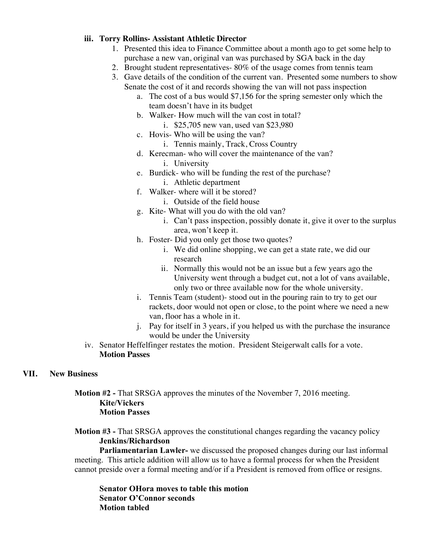#### **iii. Torry Rollins- Assistant Athletic Director**

- 1. Presented this idea to Finance Committee about a month ago to get some help to purchase a new van, original van was purchased by SGA back in the day
- 2. Brought student representatives- 80% of the usage comes from tennis team
- 3. Gave details of the condition of the current van. Presented some numbers to show Senate the cost of it and records showing the van will not pass inspection
	- a. The cost of a bus would \$7,156 for the spring semester only which the team doesn't have in its budget
	- b. Walker- How much will the van cost in total? i. \$25,705 new van, used van \$23,980
	- c. Hovis- Who will be using the van?
		- i. Tennis mainly, Track, Cross Country
	- d. Kerecman- who will cover the maintenance of the van? i. University
	- e. Burdick- who will be funding the rest of the purchase?
		- i. Athletic department
	- f. Walker- where will it be stored?
		- i. Outside of the field house
	- g. Kite- What will you do with the old van?
		- i. Can't pass inspection, possibly donate it, give it over to the surplus area, won't keep it.
	- h. Foster- Did you only get those two quotes?
		- i. We did online shopping, we can get a state rate, we did our research
		- ii. Normally this would not be an issue but a few years ago the University went through a budget cut, not a lot of vans available, only two or three available now for the whole university.
	- i. Tennis Team (student)- stood out in the pouring rain to try to get our rackets, door would not open or close, to the point where we need a new van, floor has a whole in it.
	- j. Pay for itself in 3 years, if you helped us with the purchase the insurance would be under the University
- iv. Senator Heffelfinger restates the motion. President Steigerwalt calls for a vote. **Motion Passes**

#### **VII. New Business**

**Motion #2 -** That SRSGA approves the minutes of the November 7, 2016 meeting. **Kite/Vickers Motion Passes**

**Motion #3 -** That SRSGA approves the constitutional changes regarding the vacancy policy **Jenkins/Richardson**

**Parliamentarian Lawler-** we discussed the proposed changes during our last informal meeting. This article addition will allow us to have a formal process for when the President cannot preside over a formal meeting and/or if a President is removed from office or resigns.

**Senator OHora moves to table this motion Senator O'Connor seconds Motion tabled**